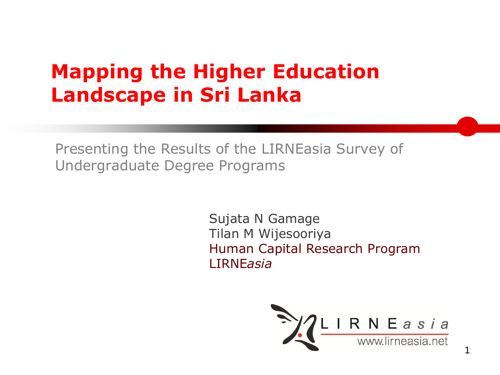# **Mapping the Higher Education Landscape in Sri Lanka**

Presenting the Results of the LIRNEasia Survey of Undergraduate Degree Programs

> Sujata N Gamage Tilan M Wijesooriya Human Capital Research Program LIRNE*asia*

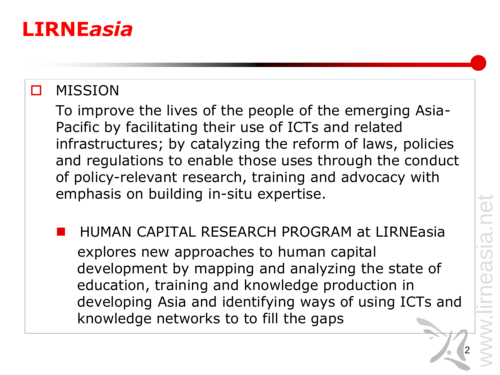#### **LIRNE***asia*

#### **D** MISSION

To improve the lives of the people of the emerging Asia-Pacific by facilitating their use of ICTs and related infrastructures; by catalyzing the reform of laws, policies and regulations to enable those uses through the conduct of policy-relevant research, training and advocacy with emphasis on building in-situ expertise.

 HUMAN CAPITAL RESEARCH PROGRAM at LIRNEasia explores new approaches to human capital development by mapping and analyzing the state of education, training and knowledge production in developing Asia and identifying ways of using ICTs and knowledge networks to to fill the gaps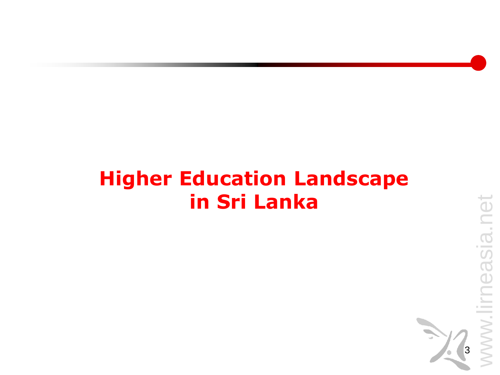# **Higher Education Landscape in Sri Lanka**

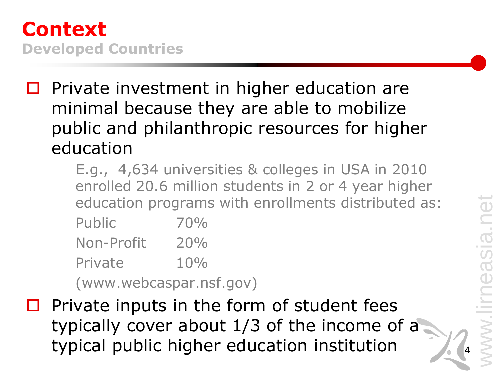

- $\square$  Private investment in higher education are minimal because they are able to mobilize public and philanthropic resources for higher education
	- E.g., 4,634 universities & colleges in USA in 2010 enrolled 20.6 million students in 2 or 4 year higher education programs with enrollments distributed as:

| Public     | 70% |
|------------|-----|
| Non-Profit | 20% |
| Private    | 10% |
|            |     |

(www.webcaspar.nsf.gov)

 $\Box$  Private inputs in the form of student fees typically cover about 1/3 of the income of a typical public higher education institution <sup>4</sup>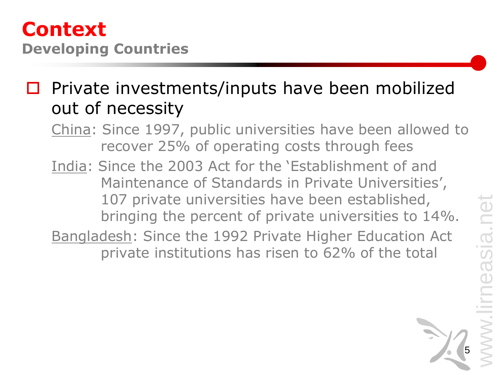#### **Context Developing Countries**

 $\square$  Private investments/inputs have been mobilized out of necessity

- China: Since 1997, public universities have been allowed to recover 25% of operating costs through fees
- India: Since the 2003 Act for the 'Establishment of and Maintenance of Standards in Private Universities', 107 private universities have been established, bringing the percent of private universities to 14%.
- Bangladesh: Since the 1992 Private Higher Education Act private institutions has risen to 62% of the total

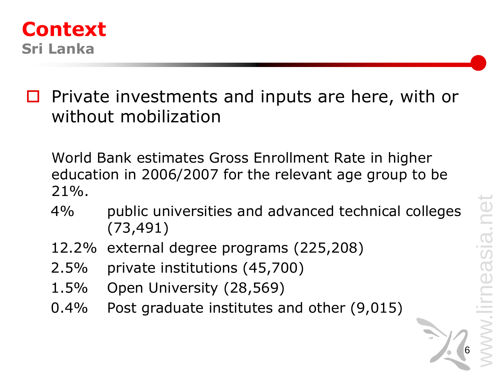

 Private investments and inputs are here, with or without mobilization

World Bank estimates Gross Enrollment Rate in higher education in 2006/2007 for the relevant age group to be  $21\%$ .

- 4% public universities and advanced technical colleges (73,491)
- 12.2% external degree programs (225,208)
- 2.5% private institutions (45,700)
- 1.5% Open University (28,569)
- 0.4% Post graduate institutes and other (9,015)

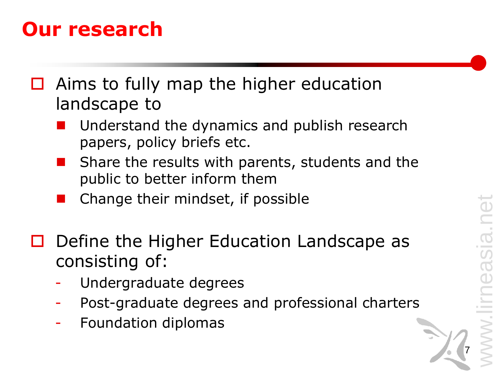7

### **Our research**

- $\Box$  Aims to fully map the higher education landscape to
	- Understand the dynamics and publish research papers, policy briefs etc.
	- Share the results with parents, students and the public to better inform them
	- Change their mindset, if possible
- $\Box$  Define the Higher Education Landscape as consisting of:
	- Undergraduate degrees
	- Post-graduate degrees and professional charters
	- Foundation diplomas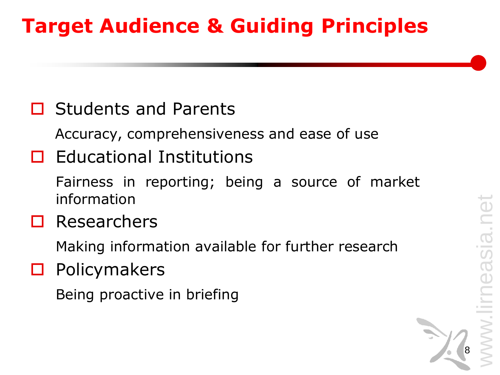# **Target Audience & Guiding Principles**

#### $\Box$  Students and Parents

Accuracy, comprehensiveness and ease of use

#### $\Box$  Educational Institutions

Fairness in reporting; being a source of market information

#### $\square$  Researchers

Making information available for further research

#### $\square$  Policymakers

Being proactive in briefing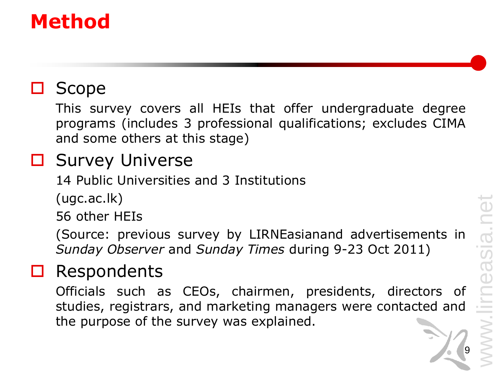# www.lirneasia.net easia.

# **Method**

#### $\Box$  Scope

This survey covers all HEIs that offer undergraduate degree programs (includes 3 professional qualifications; excludes CIMA and some others at this stage)

#### □ Survey Universe

14 Public Universities and 3 Institutions

(ugc.ac.lk)

56 other HEIs

(Source: previous survey by LIRNEasianand advertisements in *Sunday Observer* and *Sunday Times* during 9-23 Oct 2011)

#### Respondents

Officials such as CEOs, chairmen, presidents, directors of studies, registrars, and marketing managers were contacted and the purpose of the survey was explained.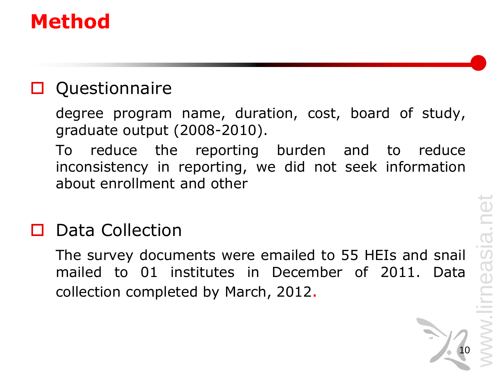# **Method**

#### **D** Questionnaire

degree program name, duration, cost, board of study, graduate output (2008-2010).

To reduce the reporting burden and to reduce inconsistency in reporting, we did not seek information about enrollment and other

#### Data Collection

The survey documents were emailed to 55 HEIs and snail mailed to 01 institutes in December of 2011. Data collection completed by March, 2012.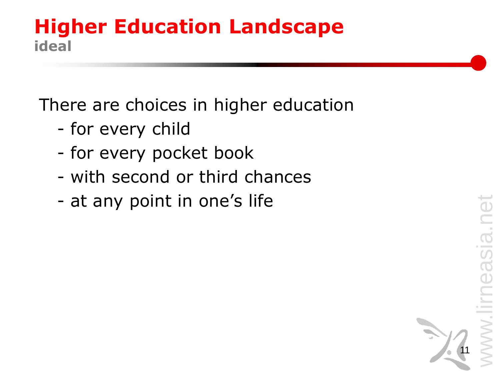#### **Higher Education Landscape ideal**

There are choices in higher education

- for every child
- for every pocket book
- with second or third chances
- at any point in one's life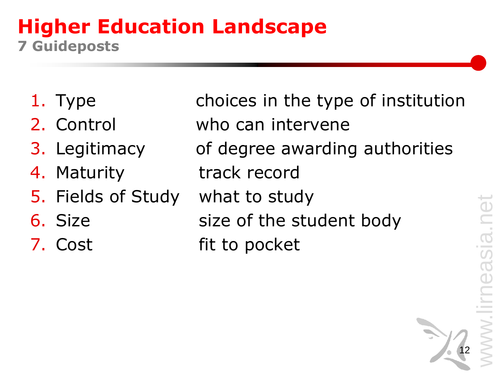#### **Higher Education Landscape 7 Guideposts**

- 
- 
- 
- 
- 5. Fields of Study what to study
- 
- 

1. Type choices in the type of institution 2. Control who can intervene 3. Legitimacy of degree awarding authorities 4. Maturity track record 6. Size size of the student body 7. Cost fit to pocket

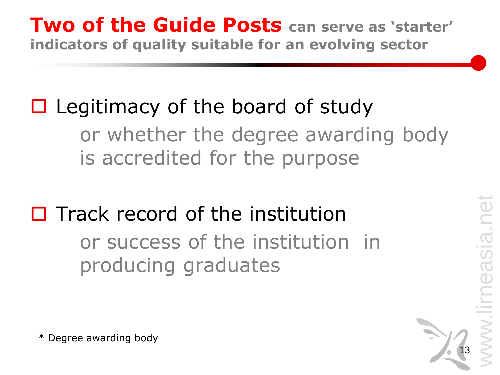#### **Two of the Guide Posts can serve as 'starter' indicators of quality suitable for an evolving sector**

# $\Box$  Legitimacy of the board of study or whether the degree awarding body is accredited for the purpose

 $\Box$  Track record of the institution or success of the institution in producing graduates



\* Degree awarding body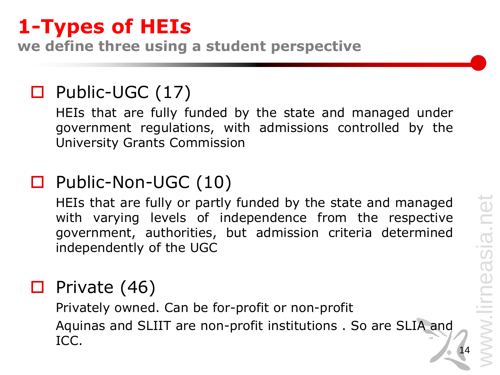# www.lirneasia.net neasia.net ill.<br>N

14

### **1-Types of HEIs**

**we define three using a student perspective**

#### □ Public-UGC (17)

HEIs that are fully funded by the state and managed under government regulations, with admissions controlled by the University Grants Commission

#### □ Public-Non-UGC (10)

HEIs that are fully or partly funded by the state and managed with varying levels of independence from the respective government, authorities, but admission criteria determined independently of the UGC

#### $\Box$  Private (46)

Privately owned. Can be for-profit or non-profit Aquinas and SLIIT are non-profit institutions . So are SLIA and ICC.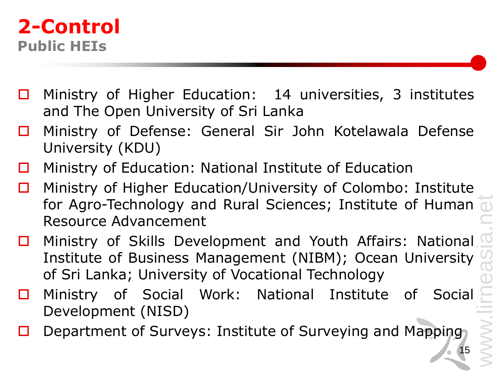#### **2-Control Public HEIs**

- $\Box$  Ministry of Higher Education: 14 universities, 3 institutes and The Open University of Sri Lanka
- □ Ministry of Defense: General Sir John Kotelawala Defense University (KDU)
- $\Box$  Ministry of Education: National Institute of Education
- Ministry of Higher Education/University of Colombo: Institute for Agro-Technology and Rural Sciences; Institute of Human Resource Advancement
- □ Ministry of Skills Development and Youth Affairs: National Institute of Business Management (NIBM); Ocean University of Sri Lanka; University of Vocational Technology
- □ Ministry of Social Work: National Institute of Social Development (NISD)
- Department of Surveys: Institute of Surveying and Mapping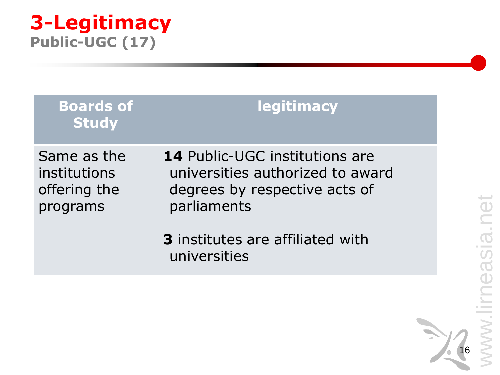# neasia.net www.lirneasia.net **Contract** /WW.

#### **3-Legitimacy Public-UGC (17)**

| <b>Boards of</b><br><b>Study</b>                        | <b>legitimacy</b>                                                                                                         |
|---------------------------------------------------------|---------------------------------------------------------------------------------------------------------------------------|
| Same as the<br>institutions<br>offering the<br>programs | <b>14</b> Public-UGC institutions are<br>universities authorized to award<br>degrees by respective acts of<br>parliaments |
|                                                         | <b>3</b> institutes are affiliated with<br>universities                                                                   |

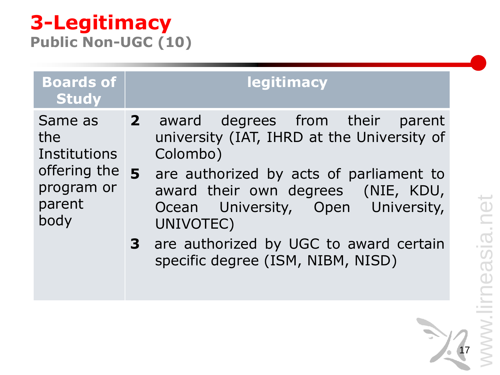17

#### **3-Legitimacy Public Non-UGC (10)**

**Boards of Study legitimacy** Same as the **Institutions** offering the program or parent body **2** award degrees from their parent university (IAT, IHRD at the University of Colombo) **5** are authorized by acts of parliament to award their own degrees (NIE, KDU, Ocean University, Open University, UNIVOTEC)

> **3** are authorized by UGC to award certain specific degree (ISM, NIBM, NISD)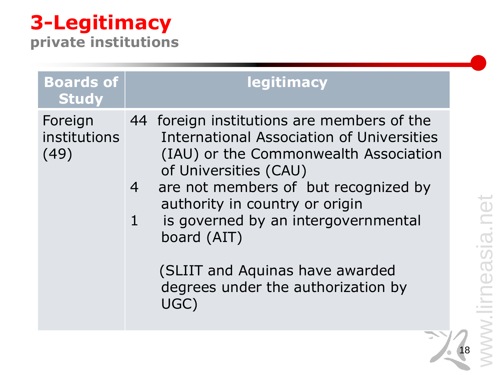# neasia.net www.lirneasia.net www.lin

18

# **3-Legitimacy**

**private institutions**

| <b>Boards of</b><br>legitimacy<br>Study<br>44 foreign institutions are members of the<br>Foreign<br>institutions<br><b>International Association of Universities</b>                                                                                                                                              |  |
|-------------------------------------------------------------------------------------------------------------------------------------------------------------------------------------------------------------------------------------------------------------------------------------------------------------------|--|
|                                                                                                                                                                                                                                                                                                                   |  |
| (IAU) or the Commonwealth Association<br>(49)<br>of Universities (CAU)<br>are not members of but recognized by<br>$\overline{4}$<br>authority in country or origin<br>is governed by an intergovernmental<br>$\mathbf{1}$<br>board (AIT)<br>(SLIIT and Aquinas have awarded<br>degrees under the authorization by |  |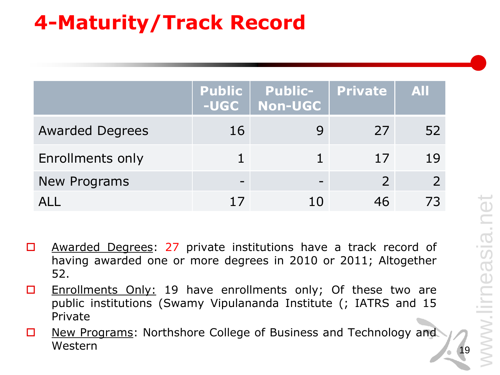# **4-Maturity/Track Record**

|                         |    | Public Public-<br>-UGC   Non-UGC | No Private   All |    |
|-------------------------|----|----------------------------------|------------------|----|
| <b>Awarded Degrees</b>  | 16 |                                  | 27               | 52 |
| <b>Enrollments only</b> |    |                                  | 17               | 19 |
| New Programs            |    |                                  |                  |    |
|                         |    |                                  |                  |    |

- □ Awarded Degrees: 27 private institutions have a track record of having awarded one or more degrees in 2010 or 2011; Altogether 52.
- $\Box$  Enrollments Only: 19 have enrollments only; Of these two are public institutions (Swamy Vipulananda Institute (; IATRS and 15 Private
- □ New Programs: Northshore College of Business and Technology and Western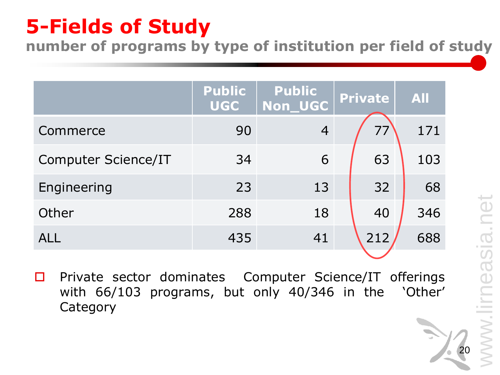# **5-Fields of Study**

**number of programs by type of institution per field of study** 

|                            | <b>Public</b><br><b>UGC</b> | <b>Public</b><br><b>Non UGC</b> | <b>Private</b> | <b>All</b> |
|----------------------------|-----------------------------|---------------------------------|----------------|------------|
| Commerce                   | 90                          | $\overline{4}$                  | 77             | 171        |
| <b>Computer Science/IT</b> | 34                          | 6                               | 63             | 103        |
| Engineering                | 23                          | 13                              | 32             | 68         |
| Other                      | 288                         | 18                              | 40             | 346        |
| <b>ALL</b>                 | 435                         | 41                              | 212            | 688        |

 $\square$  Private sector dominates Computer Science/IT offerings with 66/103 programs, but only 40/346 in the 'Other' **Category**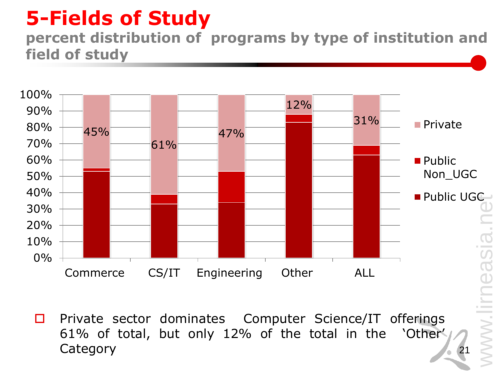# **5-Fields of Study**

#### **percent distribution of programs by type of institution and field of study**



 $\square$  Private sector dominates Computer Science/IT offerings 61% of total, but only 12% of the total in the 'Other' **Category**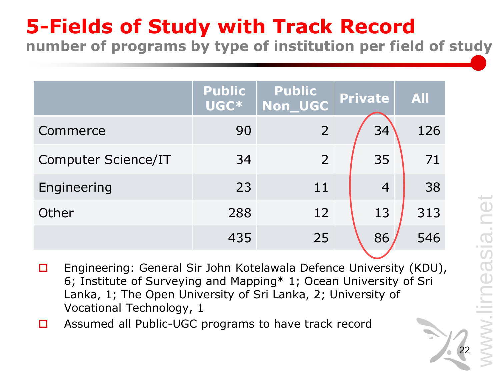#### **5-Fields of Study with Track Record number of programs by type of institution per field of study**

**Public UGC\* Public Non\_UGC Private All** Commerce 90 2 34 126 Computer Science/IT 34 2 35 71 Engineering 23 11 4 38 Other 288 12 13 313 435 25 86 546

- □ Engineering: General Sir John Kotelawala Defence University (KDU), 6; Institute of Surveying and Mapping\* 1; Ocean University of Sri Lanka, 1; The Open University of Sri Lanka, 2; University of Vocational Technology, 1
- □ Assumed all Public-UGC programs to have track record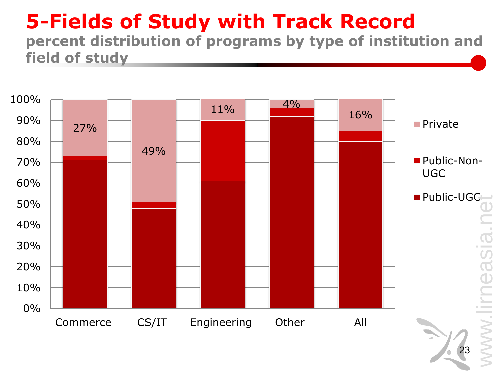#### **5-Fields of Study with Track Record percent distribution of programs by type of institution and field of study**

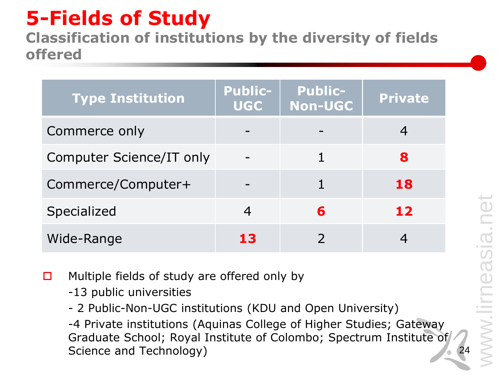# **5-Fields of Study**

**Classification of institutions by the diversity of fields offered**

| <b>Type Institution</b>  | <b>Public-</b><br><b>UGC</b> | <b>Public-</b><br><b>Non-UGC</b> | <b>Private</b> |
|--------------------------|------------------------------|----------------------------------|----------------|
| Commerce only            |                              |                                  |                |
| Computer Science/IT only |                              |                                  | 8              |
| Commerce/Computer+       |                              |                                  | 18             |
| <b>Specialized</b>       |                              | 6                                | 12             |
| Wide-Range               | 13                           |                                  |                |

 $\Box$  Multiple fields of study are offered only by

-13 public universities

- 2 Public-Non-UGC institutions (KDU and Open University)

-4 Private institutions (Aquinas College of Higher Studies; Gateway Graduate School; Royal Institute of Colombo; Spectrum Institute of Science and Technology)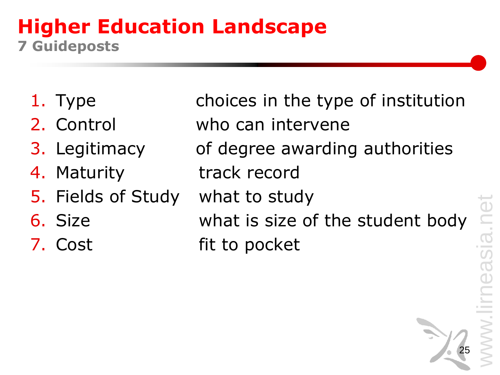#### **Higher Education Landscape 7 Guideposts**

- 
- 
- 
- 
- 5. Fields of Study what to study
- 
- 

1. Type choices in the type of institution 2. Control who can intervene 3. Legitimacy of degree awarding authorities 4. Maturity track record 6. Size what is size of the student body 7. Cost fit to pocket

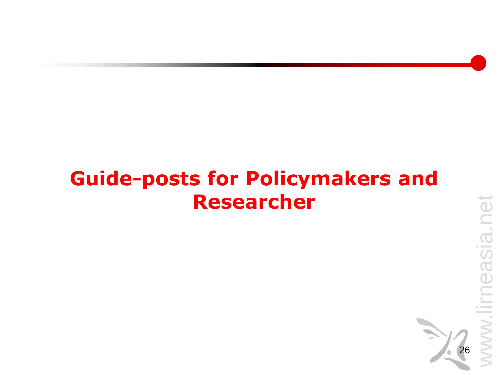### **Guide-posts for Policymakers and Researcher**

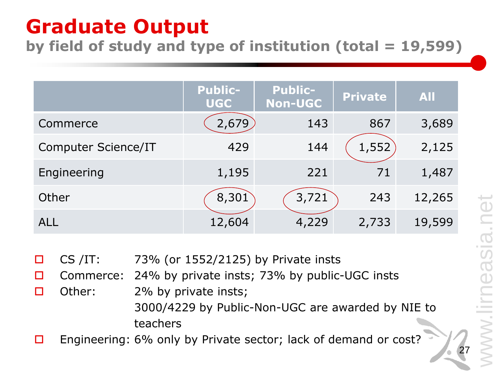# **Graduate Output**

**by field of study and type of institution (total = 19,599)**

|                            | <b>Public-</b><br><b>UGC</b> | <b>Public-</b><br><b>Non-UGC</b> | <b>Private</b> | <b>All</b> |
|----------------------------|------------------------------|----------------------------------|----------------|------------|
| Commerce                   | 2,679                        | 143                              | 867            | 3,689      |
| <b>Computer Science/IT</b> | 429                          | 144                              | 1,552          | 2,125      |
| Engineering                | 1,195                        | 221                              | 71             | 1,487      |
| Other                      | 8,301                        | 3,721                            | 243            | 12,265     |
| <b>ALL</b>                 | 12,604                       | 4,229                            | 2,733          | 19,599     |

 $\Box$  CS /IT: 73% (or 1552/2125) by Private insts

□ Commerce: 24% by private insts; 73% by public-UGC insts

- $\Box$  Other: 2% by private insts; 3000/4229 by Public-Non-UGC are awarded by NIE to teachers
- Engineering: 6% only by Private sector; lack of demand or cost?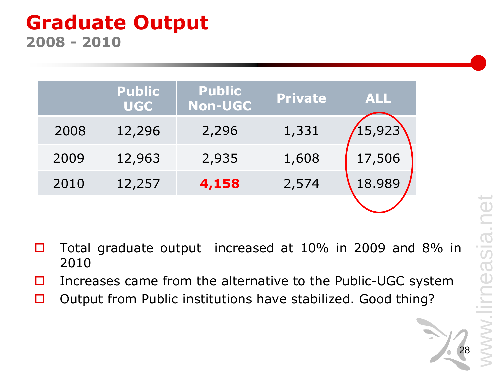#### **Graduate Output 2008 - 2010**

|      | <b>Public</b><br><b>UGC</b> | <b>Public</b><br><b>Non-UGC</b> | <b>Private</b> | <b>ALL</b> |
|------|-----------------------------|---------------------------------|----------------|------------|
| 2008 | 12,296                      | 2,296                           | 1,331          | 15,923     |
| 2009 | 12,963                      | 2,935                           | 1,608          | 17,506     |
| 2010 | 12,257                      | 4,158                           | 2,574          | 18.989     |
|      |                             |                                 |                |            |

- □ Total graduate output increased at 10% in 2009 and 8% in 2010
- Increases came from the alternative to the Public-UGC system
- $\Box$  Output from Public institutions have stabilized. Good thing?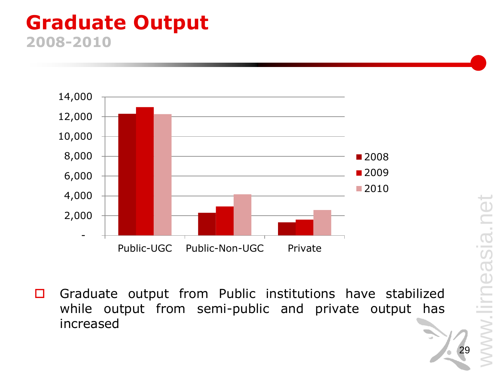#### **Graduate Output 2008-2010**



 $\Box$  Graduate output from Public institutions have stabilized while output from semi-public and private output has increased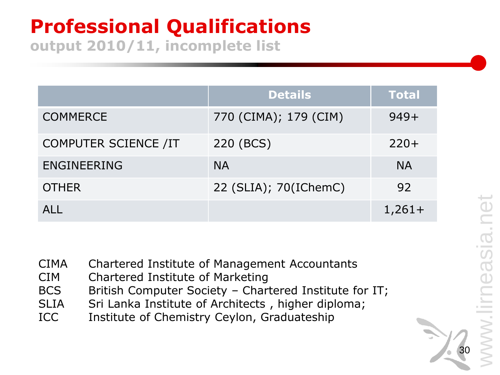# **Professional Qualifications**

**output 2010/11, incomplete list**

|                             | <b>Details</b>        | <b>Total</b> |
|-----------------------------|-----------------------|--------------|
| <b>COMMERCE</b>             | 770 (CIMA); 179 (CIM) | $949+$       |
| <b>COMPUTER SCIENCE /IT</b> | 220 (BCS)             | $220+$       |
| <b>ENGINEERING</b>          | <b>NA</b>             | <b>NA</b>    |
| <b>OTHER</b>                | 22 (SLIA); 70(IChemC) | 92           |
| AI I                        |                       | $1,261+$     |

- CIMA Chartered Institute of Management Accountants
- CIM Chartered Institute of Marketing
- BCS British Computer Society Chartered Institute for IT;
- SLIA Sri Lanka Institute of Architects, higher diploma;
- ICC Institute of Chemistry Ceylon, Graduateship



ISia.

 $\overline{\mathbf{C}}$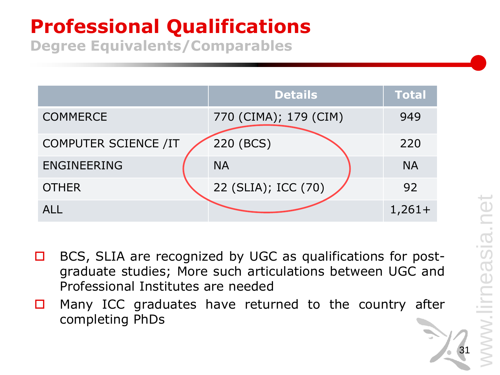# **Professional Qualifications**

**Degree Equivalents/Comparables**

|                             | <b>Details</b>        | <b>Total</b> |
|-----------------------------|-----------------------|--------------|
| <b>COMMERCE</b>             | 770 (CIMA); 179 (CIM) | 949          |
| <b>COMPUTER SCIENCE /IT</b> | 220 (BCS)             | 220          |
| <b>ENGINEERING</b>          | <b>NA</b>             | <b>NA</b>    |
| <b>OTHER</b>                | 22 (SLIA); ICC (70)   | 92           |
| AI I                        |                       | $1,261+$     |

- □ BCS, SLIA are recognized by UGC as qualifications for postgraduate studies; More such articulations between UGC and Professional Institutes are needed
- $\Box$  Many ICC graduates have returned to the country after completing PhDs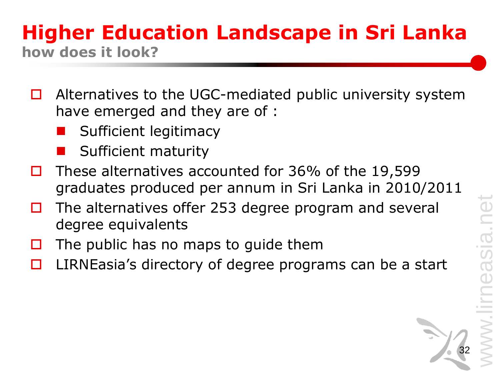#### **Higher Education Landscape in Sri Lanka how does it look?**

- $\Box$  Alternatives to the UGC-mediated public university system have emerged and they are of :
	- Sufficient legitimacy
	- Sufficient maturity
- These alternatives accounted for 36% of the 19,599 graduates produced per annum in Sri Lanka in 2010/2011
- $\Box$  The alternatives offer 253 degree program and several degree equivalents
- The public has no maps to guide them
- LIRNEasia's directory of degree programs can be a start

asia.net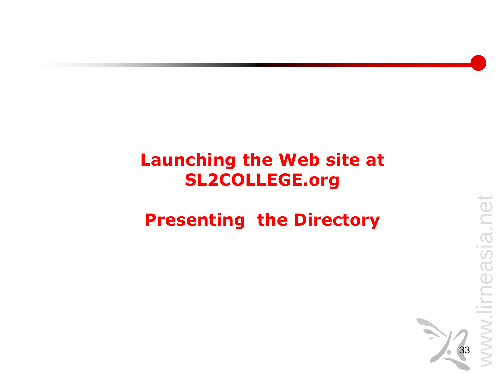#### **Launching the Web site at SL2COLLEGE.org**

#### **Presenting the Directory**

net

neasia.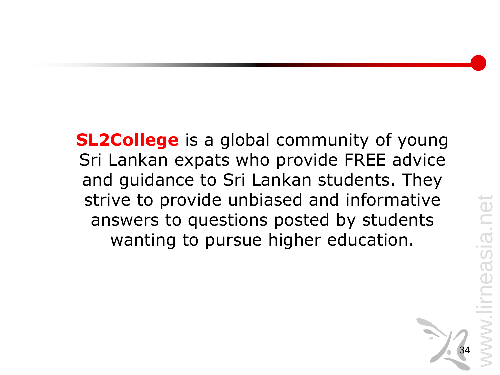**SL2College** is a global community of young Sri Lankan expats who provide FREE advice and guidance to Sri Lankan students. They strive to provide unbiased and informative answers to questions posted by students wanting to pursue higher education.



easia.net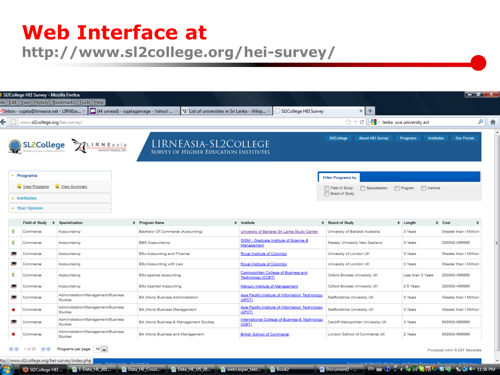#### **Web Interface at http://www.sl2college.org/hei-survey/**

| SI2College HEI Survey - Mozilla Firefox                                         |                                                                                                                                                                                 |                                                                                                               | <u>— 10 1</u> |
|---------------------------------------------------------------------------------|---------------------------------------------------------------------------------------------------------------------------------------------------------------------------------|---------------------------------------------------------------------------------------------------------------|---------------|
| e Edit View History Bookmarks Tools Help                                        |                                                                                                                                                                                 |                                                                                                               |               |
|                                                                                 | $1$ Inbox - sujata@lirneasia.net - LIRNEas… × $\Box$ (44 unread) - sujatagamage - Yahoo! … × $\mid$ W List of universities in Sri Lanka - Wikip… × $\mid$ SI2College HEI Survey | $x +$                                                                                                         |               |
| $\leftarrow$ $\leftarrow$ www.sl2college.org/hei-survey/                        |                                                                                                                                                                                 | $\frac{1}{2}$ = lanka uva university act<br>$\gamma$ $\vee$ $\in$ $\mid$                                      | 8 9           |
| SL2College MLIRNEasia                                                           | LIRNEASIA-SL2COLLEGE<br><b>SURVEY OF HIGHER EDUCATION INSTITUTES</b>                                                                                                            | Institutes<br>SI2College<br><b>About HEI Survey</b><br>Programs                                               | Our Forum     |
| $\div$ Programs<br>View Summary<br>View Programs<br>$\triangleright$ Institutes |                                                                                                                                                                                 | <b>Filter Programs by</b><br>Specialization<br>Program   Institute<br>Field of Study<br><b>Board of Study</b> |               |
| ▶ Your Opinion                                                                  |                                                                                                                                                                                 |                                                                                                               |               |

|                                           |                       |                                                                                                                                                      |                                                                                                                                                                                                                                                                                                                                                                                                                                         |                                    |                                                                                                                                                                                                             | $\div$ Cost<br>$\div$                                                                            |
|-------------------------------------------|-----------------------|------------------------------------------------------------------------------------------------------------------------------------------------------|-----------------------------------------------------------------------------------------------------------------------------------------------------------------------------------------------------------------------------------------------------------------------------------------------------------------------------------------------------------------------------------------------------------------------------------------|------------------------------------|-------------------------------------------------------------------------------------------------------------------------------------------------------------------------------------------------------------|--------------------------------------------------------------------------------------------------|
| Accountancy                               |                       |                                                                                                                                                      | University of Ballarat Sri Lanka Study Centre                                                                                                                                                                                                                                                                                                                                                                                           | University of Ballarat Australia   | 3 Years                                                                                                                                                                                                     | Greater than I Million                                                                           |
| Accountancy                               |                       |                                                                                                                                                      | GISM - Graduate Institute of Science &<br>Management                                                                                                                                                                                                                                                                                                                                                                                    | Massey University New Zealand      | 3 Years                                                                                                                                                                                                     | 200000-499999                                                                                    |
| Accountancy                               |                       |                                                                                                                                                      | Royal Institute of Colombo                                                                                                                                                                                                                                                                                                                                                                                                              | University of London UK            | 3 Years                                                                                                                                                                                                     | Greater than I Million                                                                           |
| Accountancy                               |                       |                                                                                                                                                      | Royal Institute of Colombo                                                                                                                                                                                                                                                                                                                                                                                                              | University of London UK            | 3 Years                                                                                                                                                                                                     | Greater than I Million                                                                           |
| Accountancy                               |                       |                                                                                                                                                      | <b>Cosmopolitan College of Business and</b><br>Technology (CCBT)                                                                                                                                                                                                                                                                                                                                                                        | Oxford Brookes University UK       | Less than 3 Years                                                                                                                                                                                           | 200000-499999                                                                                    |
| Accountancy                               |                       |                                                                                                                                                      | Mercury Institute of Management                                                                                                                                                                                                                                                                                                                                                                                                         | Oxford Brookes University UK       | 2.5 Years                                                                                                                                                                                                   | 200000-499999                                                                                    |
| <b>Studies</b>                            |                       |                                                                                                                                                      | (APIIT)                                                                                                                                                                                                                                                                                                                                                                                                                                 | <b>Staffordshire University UK</b> | 3 Years                                                                                                                                                                                                     | Greater than I Million                                                                           |
| <b>Studies</b>                            |                       |                                                                                                                                                      | (APIIT)                                                                                                                                                                                                                                                                                                                                                                                                                                 | Staffordshire University UK        | 3 Years                                                                                                                                                                                                     | Greater than I Million                                                                           |
| <b>Studies</b>                            |                       |                                                                                                                                                      | (ICBT)                                                                                                                                                                                                                                                                                                                                                                                                                                  | Cardiff Metropolitan University UK | 3 Years                                                                                                                                                                                                     | 500000-999999                                                                                    |
| <b>Studies</b>                            |                       |                                                                                                                                                      | <b>British School of Commerce</b>                                                                                                                                                                                                                                                                                                                                                                                                       | London School of Commerce UK       | 2 Years                                                                                                                                                                                                     | 500000-999999                                                                                    |
| Programs per page: 10                     |                       |                                                                                                                                                      |                                                                                                                                                                                                                                                                                                                                                                                                                                         |                                    |                                                                                                                                                                                                             | Processed within 0.237 Seconds                                                                   |
| //www.sl2college.org/hei-survey/index.php |                       |                                                                                                                                                      |                                                                                                                                                                                                                                                                                                                                                                                                                                         |                                    |                                                                                                                                                                                                             |                                                                                                  |
|                                           | <b>Specialization</b> | Administration/Management/Business<br>Administration/Management/Business<br>Administration/Management/Business<br>Administration/Management/Business | # Program Name<br>Bachelor Of Commerce (Accounting)<br><b>BBS Accountancy</b><br><b>BSc Accounting and Finance</b><br><b>BSc Accounting with Law</b><br><b>BSc applied accounting</b><br><b>BSc Applied Accounting</b><br>BA (Hons) Business Administration<br>BA (Hons) Business Management<br>BA (Hons) Business & Management Studies<br>BA (Hons) Business and Management<br>and Tachimanials Construction<br><b>The State State</b> | $\div$ Institute                   | # Board of Study<br>Asia Pacific Institute of Information Technology<br>Asia Pacific Institute of Information Technology<br>International College of Business & Technology<br>$\mathbb{R}$ and $\mathbb{R}$ | $\div$ Length<br><b>Considers &amp; Shan Planetices</b> All Books Bossess Research to Planetices |

webcaspar\_tabl...

Eli Book2

Data HE Coun...

Data HE US 20...

ttp://www.sl2college.org/hei-survey/index.php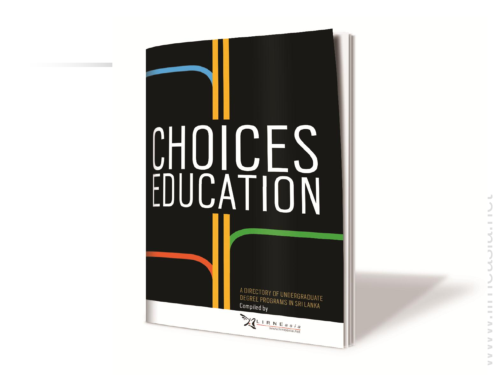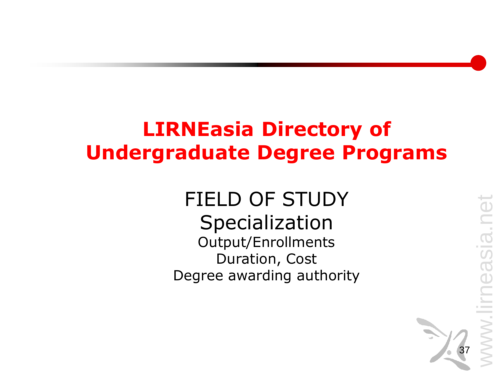# **LIRNEasia Directory of Undergraduate Degree Programs**

#### FIELD OF STUDY Specialization Output/Enrollments Duration, Cost Degree awarding authority

asia.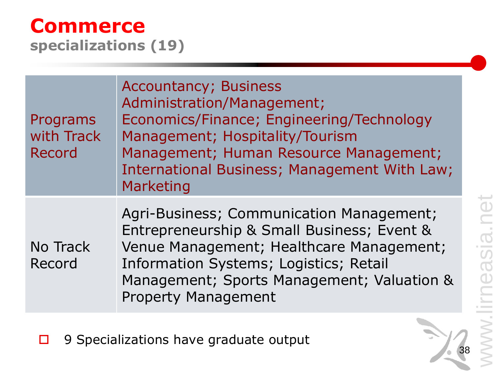38

#### **Commerce specializations (19)**

| Programs<br>with Track<br>Record | <b>Accountancy; Business</b><br>Administration/Management;<br>Economics/Finance; Engineering/Technology<br>Management; Hospitality/Tourism<br>Management; Human Resource Management;<br>International Business; Management With Law;<br>Marketing        |
|----------------------------------|----------------------------------------------------------------------------------------------------------------------------------------------------------------------------------------------------------------------------------------------------------|
| No Track<br>Record               | Agri-Business; Communication Management;<br>Entrepreneurship & Small Business; Event &<br>Venue Management; Healthcare Management;<br>Information Systems; Logistics; Retail<br>Management; Sports Management; Valuation &<br><b>Property Management</b> |

□ 9 Specializations have graduate output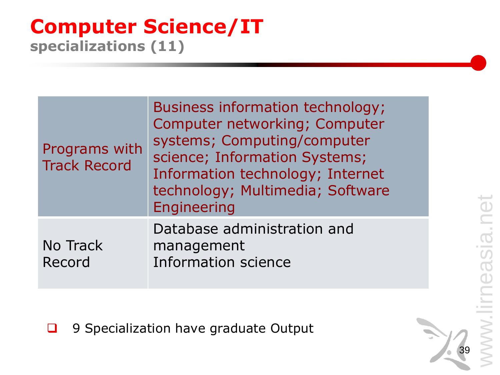# easia.net www.lirneasia.net  $\overline{\mathsf{S}}$

#### **Computer Science/IT specializations (11)**

| Programs with<br><b>Track Record</b> | Business information technology;<br>Computer networking; Computer<br>systems; Computing/computer<br>science; Information Systems;<br>Information technology; Internet<br>technology; Multimedia; Software<br><b>Engineering</b> |  |
|--------------------------------------|---------------------------------------------------------------------------------------------------------------------------------------------------------------------------------------------------------------------------------|--|
| No Track<br>Record                   | Database administration and<br>management<br><b>Information science</b>                                                                                                                                                         |  |

9 Specialization have graduate Output

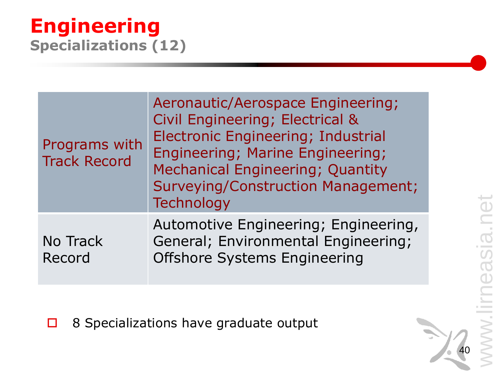# neasia.net www.lirneasia.net **Contract**  $\overline{\mathsf{S}}$

40

#### **Engineering Specializations (12)**

| Programs with<br><b>Track Record</b> | Aeronautic/Aerospace Engineering;<br>Civil Engineering; Electrical &<br><b>Electronic Engineering; Industrial</b><br><b>Engineering; Marine Engineering;</b><br><b>Mechanical Engineering; Quantity</b><br>Surveying/Construction Management;<br>Technology |  |  |
|--------------------------------------|-------------------------------------------------------------------------------------------------------------------------------------------------------------------------------------------------------------------------------------------------------------|--|--|
| No Track<br>Record                   | Automotive Engineering; Engineering,<br>General; Environmental Engineering;<br><b>Offshore Systems Engineering</b>                                                                                                                                          |  |  |

□ 8 Specializations have graduate output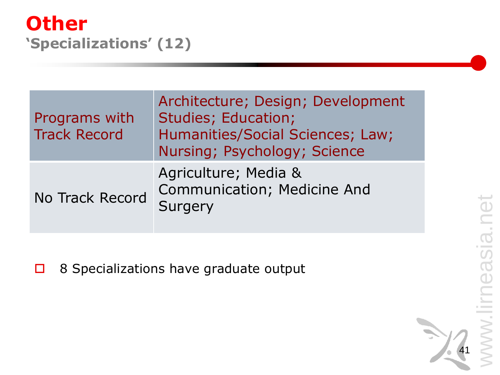41

#### **Other 'Specializations' (12)**

| Programs with<br><b>Track Record</b> | Architecture; Design; Development<br>Studies; Education;<br>Humanities/Social Sciences; Law;<br>Nursing; Psychology; Science |
|--------------------------------------|------------------------------------------------------------------------------------------------------------------------------|
| <b>No Track Record</b>               | Agriculture; Media &<br><b>Communication; Medicine And</b><br>Surgery                                                        |

□ 8 Specializations have graduate output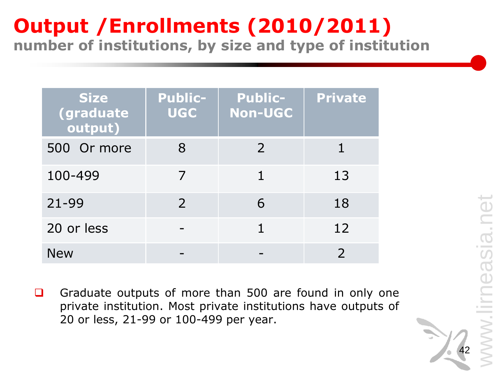#### **Output /Enrollments (2010/2011) number of institutions, by size and type of institution**

| <b>Size</b><br><b>(graduate</b><br>output) | <b>Public-</b><br><b>UGC</b> | <b>Public-</b><br><b>Non-UGC</b> | <b>Private</b> |
|--------------------------------------------|------------------------------|----------------------------------|----------------|
| 500 Or more                                | 8                            | 2                                |                |
| 100-499                                    |                              | 1                                | 13             |
| $21 - 99$                                  | $\mathcal{P}$                | 6                                | 18             |
| 20 or less                                 |                              |                                  | 12             |
| <b>New</b>                                 |                              |                                  |                |

Graduate outputs of more than 500 are found in only one private institution. Most private institutions have outputs of 20 or less, 21-99 or 100-499 per year.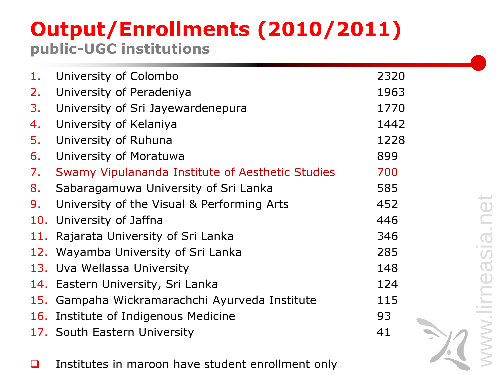#### **Output/Enrollments (2010/2011) public-UGC institutions**

| 1.  | University of Colombo                            | 2320 |
|-----|--------------------------------------------------|------|
| 2.  | University of Peradeniya                         | 1963 |
| 3.  | University of Sri Jayewardenepura                | 1770 |
| 4.  | University of Kelaniya                           | 1442 |
| 5.  | University of Ruhuna                             | 1228 |
| 6.  | University of Moratuwa                           | 899  |
| 7.  | Swamy Vipulananda Institute of Aesthetic Studies | 700  |
| 8.  | Sabaragamuwa University of Sri Lanka             | 585  |
| 9.  | University of the Visual & Performing Arts       | 452  |
|     | 10. University of Jaffna                         | 446  |
| 11. | Rajarata University of Sri Lanka                 | 346  |
| 12. | Wayamba University of Sri Lanka                  | 285  |
|     | 13. Uva Wellassa University                      | 148  |
|     | 14. Eastern University, Sri Lanka                | 124  |
|     | 15. Gampaha Wickramarachchi Ayurveda Institute   | 115  |
|     | 16. Institute of Indigenous Medicine             | 93   |
|     | 17. South Eastern University                     | 41   |
|     |                                                  |      |

□ Institutes in maroon have student enrollment only

www.lirneasia.net Sia.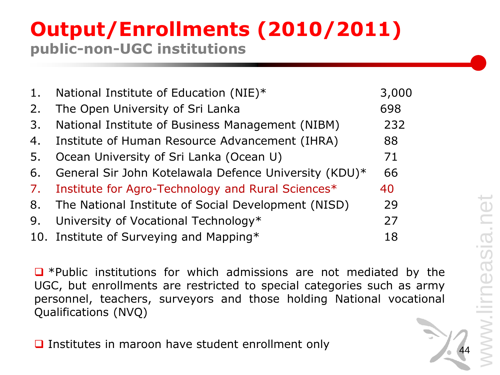#### **Output/Enrollments (2010/2011) public-non-UGC institutions**

| 1 <sub>1</sub> | National Institute of Education (NIE)*                | 3,000 |
|----------------|-------------------------------------------------------|-------|
| 2.             | The Open University of Sri Lanka                      | 698   |
| 3.             | National Institute of Business Management (NIBM)      | 232   |
| 4.             | Institute of Human Resource Advancement (IHRA)        | 88    |
| 5.             | Ocean University of Sri Lanka (Ocean U)               | 71    |
| 6.             | General Sir John Kotelawala Defence University (KDU)* | 66    |
| 7.             | Institute for Agro-Technology and Rural Sciences*     | 40    |
| 8.             | The National Institute of Social Development (NISD)   | 29    |
| 9.             | University of Vocational Technology*                  | 27    |
|                | 10. Institute of Surveying and Mapping*               | 18    |

 $\Box$  \*Public institutions for which admissions are not mediated by the UGC, but enrollments are restricted to special categories such as army personnel, teachers, surveyors and those holding National vocational Qualifications (NVQ)

 $\Box$  Institutes in maroon have student enrollment only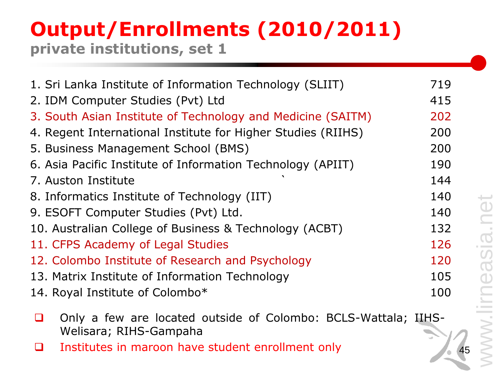#### **Output/Enrollments (2010/2011) private institutions, set 1**

| 1. Sri Lanka Institute of Information Technology (SLIIT)     | 719 |
|--------------------------------------------------------------|-----|
| 2. IDM Computer Studies (Pvt) Ltd                            | 415 |
| 3. South Asian Institute of Technology and Medicine (SAITM)  | 202 |
| 4. Regent International Institute for Higher Studies (RIIHS) | 200 |
| 5. Business Management School (BMS)                          | 200 |
| 6. Asia Pacific Institute of Information Technology (APIIT)  | 190 |
| 7. Auston Institute                                          | 144 |
| 8. Informatics Institute of Technology (IIT)                 | 140 |
| 9. ESOFT Computer Studies (Pvt) Ltd.                         | 140 |
| 10. Australian College of Business & Technology (ACBT)       | 132 |
| 11. CFPS Academy of Legal Studies                            | 126 |
| 12. Colombo Institute of Research and Psychology             | 120 |
| 13. Matrix Institute of Information Technology               | 105 |
| 14. Royal Institute of Colombo*                              | 100 |
|                                                              |     |

- Only a few are located outside of Colombo: BCLS-Wattala; IIHS-Welisara; RIHS-Gampaha
- Institutes in maroon have student enrollment only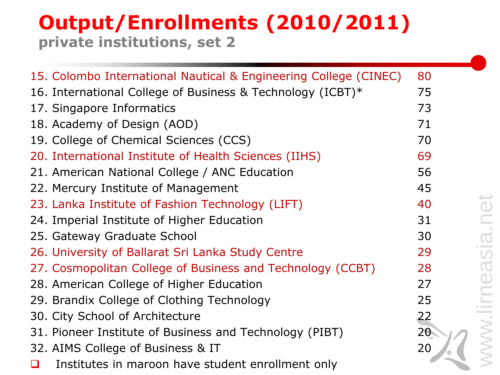#### **Output/Enrollments (2010/2011) private institutions, set 2**

| 15. Colombo International Nautical & Engineering College (CINEC) | 80              |
|------------------------------------------------------------------|-----------------|
| 16. International College of Business & Technology (ICBT)*       | 75              |
| 17. Singapore Informatics                                        | 73              |
| 18. Academy of Design (AOD)                                      | 71              |
| 19. College of Chemical Sciences (CCS)                           | 70              |
| 20. International Institute of Health Sciences (IIHS)            | 69              |
| 21. American National College / ANC Education                    | 56              |
| 22. Mercury Institute of Management                              | 45              |
| 23. Lanka Institute of Fashion Technology (LIFT)                 | 40              |
| 24. Imperial Institute of Higher Education                       | 31              |
| 25. Gateway Graduate School                                      | 30              |
| 26. University of Ballarat Sri Lanka Study Centre                | 29              |
| 27. Cosmopolitan College of Business and Technology (CCBT)       | 28              |
| 28. American College of Higher Education                         | 27              |
| 29. Brandix College of Clothing Technology                       | 25              |
| 30. City School of Architecture                                  | 22              |
| 31. Pioneer Institute of Business and Technology (PIBT)          | 20 <sub>1</sub> |
| 32. AIMS College of Business & IT                                | 20              |
| Institutes in maroon have student enrollment only                |                 |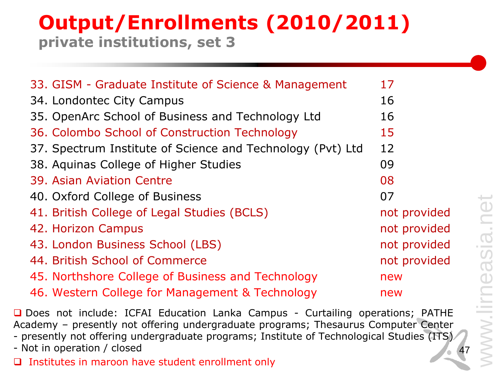#### **Output/Enrollments (2010/2011) private institutions, set 3**

| 33. GISM - Graduate Institute of Science & Management      | 17           |
|------------------------------------------------------------|--------------|
| 34. Londontec City Campus                                  | 16           |
| 35. OpenArc School of Business and Technology Ltd          | 16           |
| 36. Colombo School of Construction Technology              | 15           |
| 37. Spectrum Institute of Science and Technology (Pvt) Ltd | 12           |
| 38. Aquinas College of Higher Studies                      | 09           |
| 39. Asian Aviation Centre                                  | 08           |
| 40. Oxford College of Business                             | 07           |
| 41. British College of Legal Studies (BCLS)                | not provided |
| 42. Horizon Campus                                         | not provided |
| 43. London Business School (LBS)                           | not provided |
| 44. British School of Commerce                             | not provided |
| 45. Northshore College of Business and Technology          | new          |
| 46. Western College for Management & Technology            | new          |

□ Does not include: ICFAI Education Lanka Campus - Curtailing operations; PATHE Academy – presently not offering undergraduate programs; Thesaurus Computer Center - presently not offering undergraduate programs; Institute of Technological Studies (ITS) - Not in operation / closed  $\Box$  Institutes in maroon have student enrollment only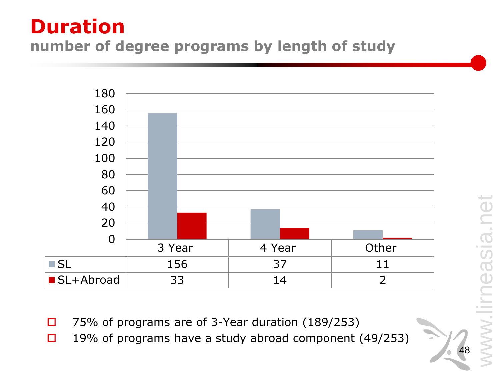#### **Duration number of degree programs by length of study**



- $\Box$  75% of programs are of 3-Year duration (189/253)
- □ 19% of programs have a study abroad component (49/253)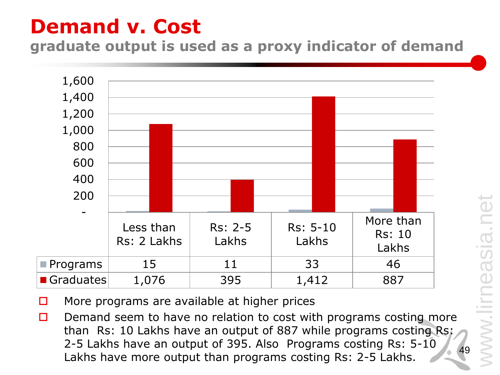# **Demand v. Cost**

**graduate output is used as a proxy indicator of demand**



- $\Box$  More programs are available at higher prices
- 49  $\Box$  Demand seem to have no relation to cost with programs costing more than Rs: 10 Lakhs have an output of 887 while programs costing Rs: 2-5 Lakhs have an output of 395. Also Programs costing Rs: 5-10 Lakhs have more output than programs costing Rs: 2-5 Lakhs.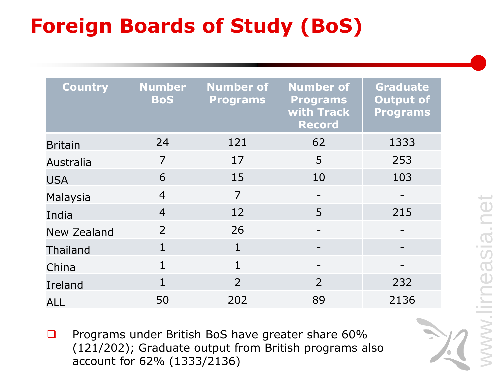# **Foreign Boards of Study (BoS)**

| <b>Country</b>  | <b>Number</b><br><b>BoS</b> | <b>Number of</b><br><b>Programs</b> | <b>Number of</b><br><b>Programs</b><br>with Track<br><b>Record</b> | <b>Graduate</b><br>Output of<br><b>Programs</b> |
|-----------------|-----------------------------|-------------------------------------|--------------------------------------------------------------------|-------------------------------------------------|
| <b>Britain</b>  | 24                          | 121                                 | 62                                                                 | 1333                                            |
| Australia       | $\overline{7}$              | 17                                  | 5                                                                  | 253                                             |
| <b>USA</b>      | 6                           | 15                                  | 10                                                                 | 103                                             |
| Malaysia        | $\overline{4}$              | $\overline{7}$                      | $\overline{\phantom{a}}$                                           | $\qquad \qquad -$                               |
| India           | $\overline{4}$              | 12                                  | 5                                                                  | 215                                             |
| New Zealand     | $\overline{2}$              | 26                                  |                                                                    |                                                 |
| <b>Thailand</b> | $\mathbf{1}$                | $\mathbf{1}$                        |                                                                    |                                                 |
| China           | 1                           | $\overline{1}$                      |                                                                    |                                                 |
| Ireland         | $\mathbf{1}$                | $\overline{2}$                      | $\overline{2}$                                                     | 232                                             |
| <b>ALL</b>      | 50                          | 202                                 | 89                                                                 | 2136                                            |

**Q** Programs under British BoS have greater share 60% (121/202); Graduate output from British programs also account for 62% (1333/2136)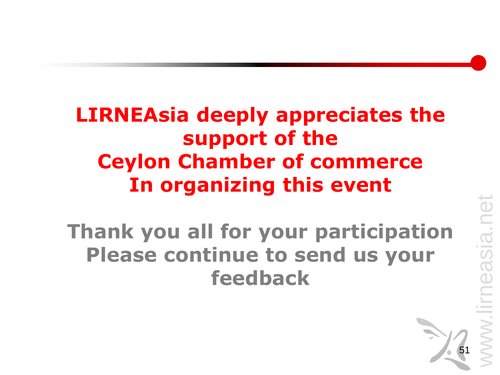# **LIRNEAsia deeply appreciates the support of the Ceylon Chamber of commerce In organizing this event**

**Thank you all for your participation Please continue to send us your feedback**



easia.net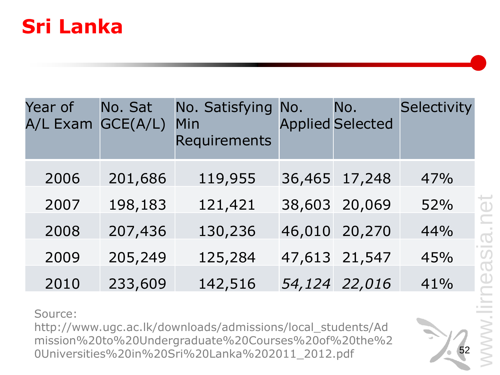### **Sri Lanka**

| Year of<br>A/L Exam GCE(A/L) | No. Sat | No. Satisfying No.<br>Min<br>Requirements |        | No.<br><b>Applied Selected</b> | Selectivity |
|------------------------------|---------|-------------------------------------------|--------|--------------------------------|-------------|
| 2006                         | 201,686 | 119,955                                   |        | 36,465 17,248                  | 47%         |
| 2007                         | 198,183 | 121,421                                   |        | 38,603 20,069                  | 52%         |
| 2008                         | 207,436 | 130,236                                   | 46,010 | 20,270                         | 44%         |
| 2009                         | 205,249 | 125,284                                   |        | 47,613 21,547                  | 45%         |
| 2010                         | 233,609 | 142,516                                   |        | 54,124 22,016                  | 41%         |

Source:

http://www.ugc.ac.lk/downloads/admissions/local\_students/Ad mission%20to%20Undergraduate%20Courses%20of%20the%2 0Universities%20in%20Sri%20Lanka%202011\_2012.pdf